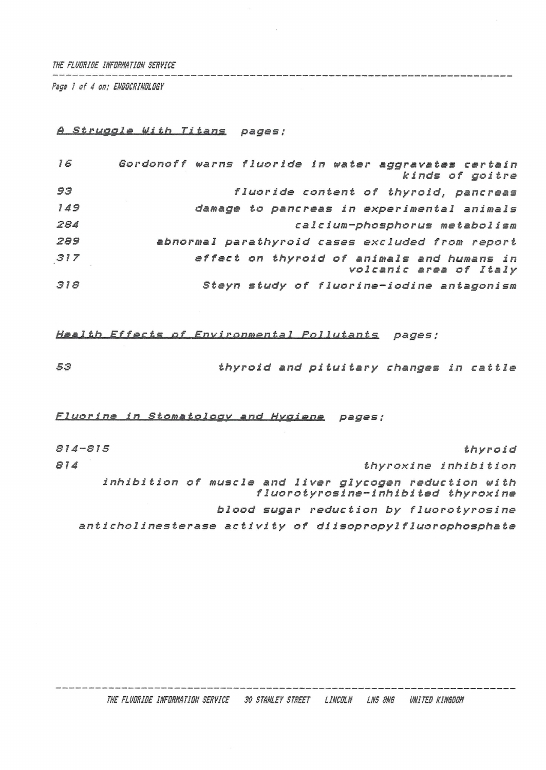#### *THE FLUORIDE INFORNňTIDN SERVICE*

*Page <sup>1</sup> of 4 on; ENDOCRINOLOGY*

# *<sup>A</sup> Struggle tilth Titans pages •*

| 16  | Gordonoff warns fluoride in water aggravates certain<br>kinds of goitre |
|-----|-------------------------------------------------------------------------|
| 93  | fluoride content of thyroid, pancreas                                   |
| 149 | damage to pancreas in experimental animals                              |
| 284 | calcium-phosphorus metabolism                                           |
| 289 | abnormal parathyroid cases excluded from report                         |
| 317 | effect on thyroid of animals and humans in<br>volcanic area of Italy    |
| 318 | Steyn study of fluorine-iodine antagonism                               |

### *Health Effects of Environmental Pollutants pages ;*

*■53 thyroid and pituitary changes in cattle*

# *Fluorine in Stomatology and Hygiene pages ;*

| 814-815                                                   |  |  |                                         |                      | thyroid |
|-----------------------------------------------------------|--|--|-----------------------------------------|----------------------|---------|
| 814                                                       |  |  |                                         | thyroxine inhibition |         |
| inhibition of muscle and liver glycogen reduction with    |  |  | fluorotyrosine-inhibited thyroxine      |                      |         |
|                                                           |  |  | blood sugar reduction by fluorotyrosine |                      |         |
| anticholinesterase activity of diisopropylfluorophosphate |  |  |                                         |                      |         |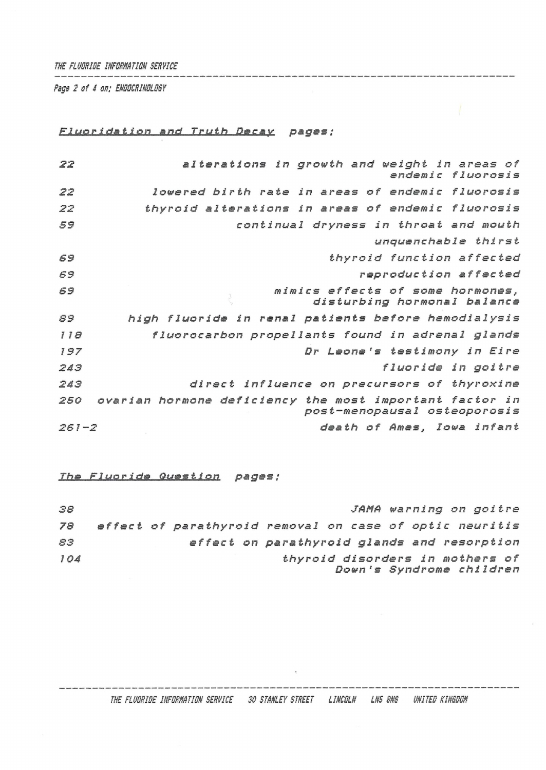### *THE FLUORISE INFORMATION SERVICE*

*Rags 2 of 4 on; ENOOCRINOLOSY*

*Fluor i da.t.ion and. T..£.iJ.t.h . &e,c.ax. pages :*

| 22        | alterations in growth and weight in areas of<br>endemic fluorosis                       |
|-----------|-----------------------------------------------------------------------------------------|
| 22        | lowered birth rate in areas of endemic fluorosis                                        |
| 22        | thyroid alterations in areas of endemic fluorosis                                       |
| 59        | continual dryness in throat and mouth                                                   |
|           | unquenchable thirst                                                                     |
| 69        | thyroid function affected                                                               |
| 69        | reproduction affected                                                                   |
| 69        | mimics effects of some hormones,<br>disturbing hormonal balance                         |
| 89        | high fluoride in renal patients before hemodialysis                                     |
| 118       | fluorocarbon propellants found in adrenal glands                                        |
| 197       | Dr Leone's testimony in Eire                                                            |
| 243       | fluoride in goitre                                                                      |
| 243       | direct influence on precursors of thyroxine                                             |
| 250       | ovarian hormone deficiency the most important factor in<br>post-menopausal osteoporosis |
| $261 - 2$ | death of Ames, Iowa infant                                                              |

*Ths Luo r. ids.. Question pages;*

 *JFAM<sup>A</sup> wa r <sup>n</sup> i ng <sup>o</sup><sup>n</sup> go i tre effect of parathyroid removal on case of optic neuritis effect on parathyroid glands and resorption thyroid disorders in mothers of Down's Syndrome children*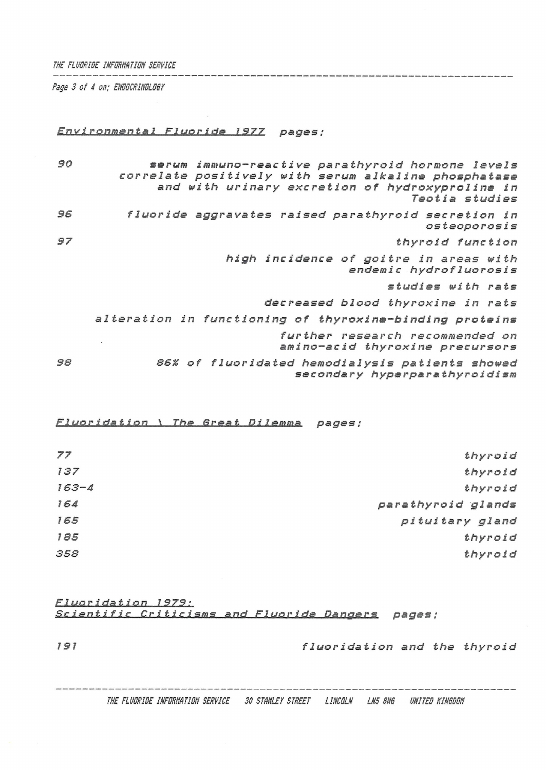#### *THE FLUORIDE INFORMATION SERVICE*

*Page 3 of 4 on; ENDOCRINOLOGY*

### *Environmental Fluoride\_\_<sup>1</sup> 977 pages;*

*90 serum immuno-reactive parathyroid hormone levels correlate positively with serum alkaline phosphatase and with urinary excretion of hydroxyproline in Teotia studies 96 fluoride aggravates raised parathyroid secretion in osteoporos i<sup>s</sup> 97 thyroid function high incidence of goitre in areas with endemic hydrofluorosis studies with rats decreased blood thyroxine in rats alteration in functioning of thyroxine-binding proteins further research recommended on amino-acid thyroxine precursors 98 86% of fluoridated hemodialysis patients showed seconda ry hyperpara thyroid!sm*

 $Fluoridation$  *\ The Great Dilemma pages;* 

| thyroid            | 77        |
|--------------------|-----------|
| thyroid            | 137       |
| thyroid            | $163 - 4$ |
| parathyroid glands | 164       |
| pituitary gland    | 165       |
| thyroid            | 185       |
| thyroid            | 358       |
|                    |           |

*Fluoridation\_\_<sup>J</sup> 979 ?* **žg. l.e***ntific Criticism***5..\_a.nd** *<sup>E</sup><sup>1</sup> u.o ride Dangers pages ;*

*<sup>191</sup> fluoridation and the thyroid*